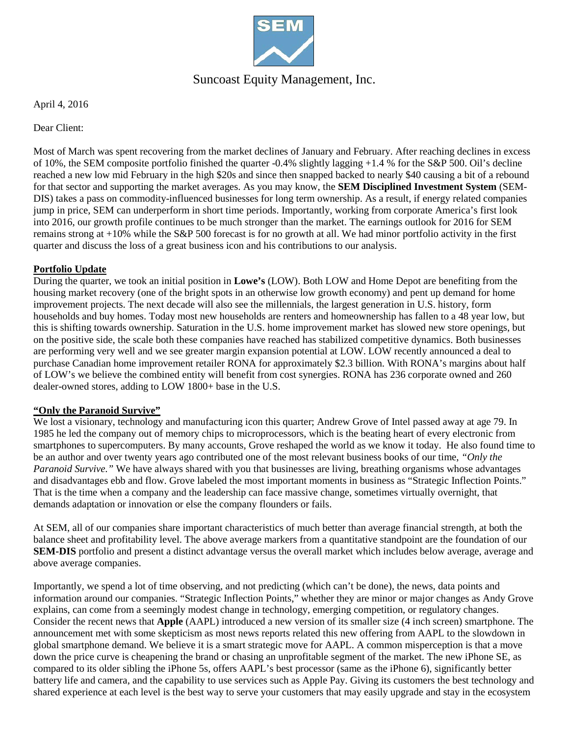

## Suncoast Equity Management, Inc.

April 4, 2016

Dear Client:

Most of March was spent recovering from the market declines of January and February. After reaching declines in excess of 10%, the SEM composite portfolio finished the quarter -0.4% slightly lagging +1.4 % for the S&P 500. Oil's decline reached a new low mid February in the high \$20s and since then snapped backed to nearly \$40 causing a bit of a rebound for that sector and supporting the market averages. As you may know, the **SEM Disciplined Investment System** (SEM-DIS) takes a pass on commodity-influenced businesses for long term ownership. As a result, if energy related companies jump in price, SEM can underperform in short time periods. Importantly, working from corporate America's first look into 2016, our growth profile continues to be much stronger than the market. The earnings outlook for 2016 for SEM remains strong at +10% while the S&P 500 forecast is for no growth at all. We had minor portfolio activity in the first quarter and discuss the loss of a great business icon and his contributions to our analysis.

#### **Portfolio Update**

During the quarter, we took an initial position in **Lowe's** (LOW). Both LOW and Home Depot are benefiting from the housing market recovery (one of the bright spots in an otherwise low growth economy) and pent up demand for home improvement projects. The next decade will also see the millennials, the largest generation in U.S. history, form households and buy homes. Today most new households are renters and homeownership has fallen to a 48 year low, but this is shifting towards ownership. Saturation in the U.S. home improvement market has slowed new store openings, but on the positive side, the scale both these companies have reached has stabilized competitive dynamics. Both businesses are performing very well and we see greater margin expansion potential at LOW. LOW recently announced a deal to purchase Canadian home improvement retailer RONA for approximately \$2.3 billion. With RONA's margins about half of LOW's we believe the combined entity will benefit from cost synergies. RONA has 236 corporate owned and 260 dealer-owned stores, adding to LOW 1800+ base in the U.S.

#### **"Only the Paranoid Survive"**

We lost a visionary, technology and manufacturing icon this quarter; Andrew Grove of Intel passed away at age 79. In 1985 he led the company out of memory chips to microprocessors, which is the beating heart of every electronic from smartphones to supercomputers. By many accounts, Grove reshaped the world as we know it today. He also found time to be an author and over twenty years ago contributed one of the most relevant business books of our time, *"Only the Paranoid Survive."* We have always shared with you that businesses are living, breathing organisms whose advantages and disadvantages ebb and flow. Grove labeled the most important moments in business as "Strategic Inflection Points." That is the time when a company and the leadership can face massive change, sometimes virtually overnight, that demands adaptation or innovation or else the company flounders or fails.

At SEM, all of our companies share important characteristics of much better than average financial strength, at both the balance sheet and profitability level. The above average markers from a quantitative standpoint are the foundation of our **SEM-DIS** portfolio and present a distinct advantage versus the overall market which includes below average, average and above average companies.

Importantly, we spend a lot of time observing, and not predicting (which can't be done), the news, data points and information around our companies. "Strategic Inflection Points," whether they are minor or major changes as Andy Grove explains, can come from a seemingly modest change in technology, emerging competition, or regulatory changes. Consider the recent news that **Apple** (AAPL) introduced a new version of its smaller size (4 inch screen) smartphone. The announcement met with some skepticism as most news reports related this new offering from AAPL to the slowdown in global smartphone demand. We believe it is a smart strategic move for AAPL. A common misperception is that a move down the price curve is cheapening the brand or chasing an unprofitable segment of the market. The new iPhone SE, as compared to its older sibling the iPhone 5s, offers AAPL's best processor (same as the iPhone 6), significantly better battery life and camera, and the capability to use services such as Apple Pay. Giving its customers the best technology and shared experience at each level is the best way to serve your customers that may easily upgrade and stay in the ecosystem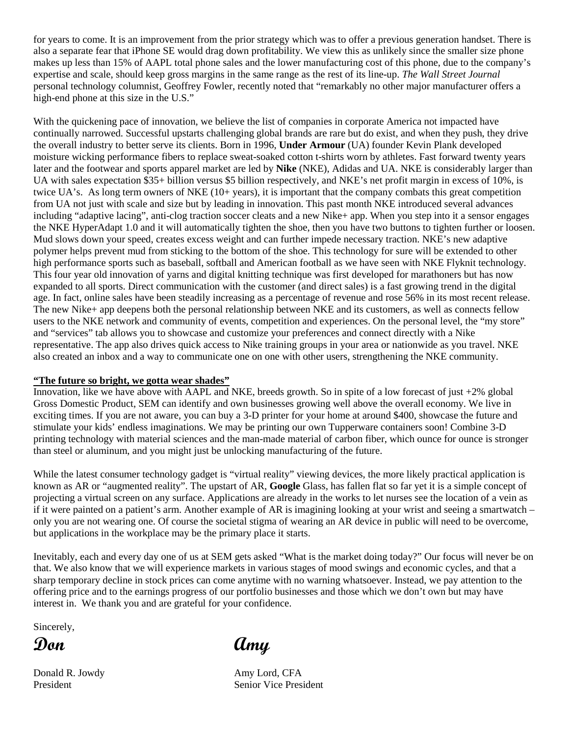for years to come. It is an improvement from the prior strategy which was to offer a previous generation handset. There is also a separate fear that iPhone SE would drag down profitability. We view this as unlikely since the smaller size phone makes up less than 15% of AAPL total phone sales and the lower manufacturing cost of this phone, due to the company's expertise and scale, should keep gross margins in the same range as the rest of its line-up. *The Wall Street Journal* personal technology columnist, Geoffrey Fowler, recently noted that "remarkably no other major manufacturer offers a high-end phone at this size in the U.S."

With the quickening pace of innovation, we believe the list of companies in corporate America not impacted have continually narrowed. Successful upstarts challenging global brands are rare but do exist, and when they push, they drive the overall industry to better serve its clients. Born in 1996, **Under Armour** (UA) founder Kevin Plank developed moisture wicking performance fibers to replace sweat-soaked cotton t-shirts worn by athletes. Fast forward twenty years later and the footwear and sports apparel market are led by **Nike** (NKE), Adidas and UA. NKE is considerably larger than UA with sales expectation \$35+ billion versus \$5 billion respectively, and NKE's net profit margin in excess of 10%, is twice UA's. As long term owners of NKE (10+ years), it is important that the company combats this great competition from UA not just with scale and size but by leading in innovation. This past month NKE introduced several advances including "adaptive lacing", anti-clog traction soccer cleats and a new Nike+ app. When you step into it a sensor engages the NKE HyperAdapt 1.0 and it will automatically tighten the shoe, then you have two buttons to tighten further or loosen. Mud slows down your speed, creates excess weight and can further impede necessary traction. NKE's new adaptive polymer helps prevent mud from sticking to the bottom of the shoe. This technology for sure will be extended to other high performance sports such as baseball, softball and American football as we have seen with NKE Flyknit technology. This four year old innovation of yarns and digital knitting technique was first developed for marathoners but has now expanded to all sports. Direct communication with the customer (and direct sales) is a fast growing trend in the digital age. In fact, online sales have been steadily increasing as a percentage of revenue and rose 56% in its most recent release. The new Nike+ app deepens both the personal relationship between NKE and its customers, as well as connects fellow users to the NKE network and community of events, competition and experiences. On the personal level, the "my store" and "services" tab allows you to showcase and customize your preferences and connect directly with a Nike representative. The app also drives quick access to Nike training groups in your area or nationwide as you travel. NKE also created an inbox and a way to communicate one on one with other users, strengthening the NKE community.

### **"The future so bright, we gotta wear shades"**

Innovation, like we have above with AAPL and NKE, breeds growth. So in spite of a low forecast of just +2% global Gross Domestic Product, SEM can identify and own businesses growing well above the overall economy. We live in exciting times. If you are not aware, you can buy a 3-D printer for your home at around \$400, showcase the future and stimulate your kids' endless imaginations. We may be printing our own Tupperware containers soon! Combine 3-D printing technology with material sciences and the man-made material of carbon fiber, which ounce for ounce is stronger than steel or aluminum, and you might just be unlocking manufacturing of the future.

While the latest consumer technology gadget is "virtual reality" viewing devices, the more likely practical application is known as AR or "augmented reality". The upstart of AR, **Google** Glass, has fallen flat so far yet it is a simple concept of projecting a virtual screen on any surface. Applications are already in the works to let nurses see the location of a vein as if it were painted on a patient's arm. Another example of AR is imagining looking at your wrist and seeing a smartwatch – only you are not wearing one. Of course the societal stigma of wearing an AR device in public will need to be overcome, but applications in the workplace may be the primary place it starts.

Inevitably, each and every day one of us at SEM gets asked "What is the market doing today?" Our focus will never be on that. We also know that we will experience markets in various stages of mood swings and economic cycles, and that a sharp temporary decline in stock prices can come anytime with no warning whatsoever. Instead, we pay attention to the offering price and to the earnings progress of our portfolio businesses and those which we don't own but may have interest in. We thank you and are grateful for your confidence.

Sincerely,

**Don Amy**

Donald R. Jowdy Amy Lord, CFA President Senior Vice President